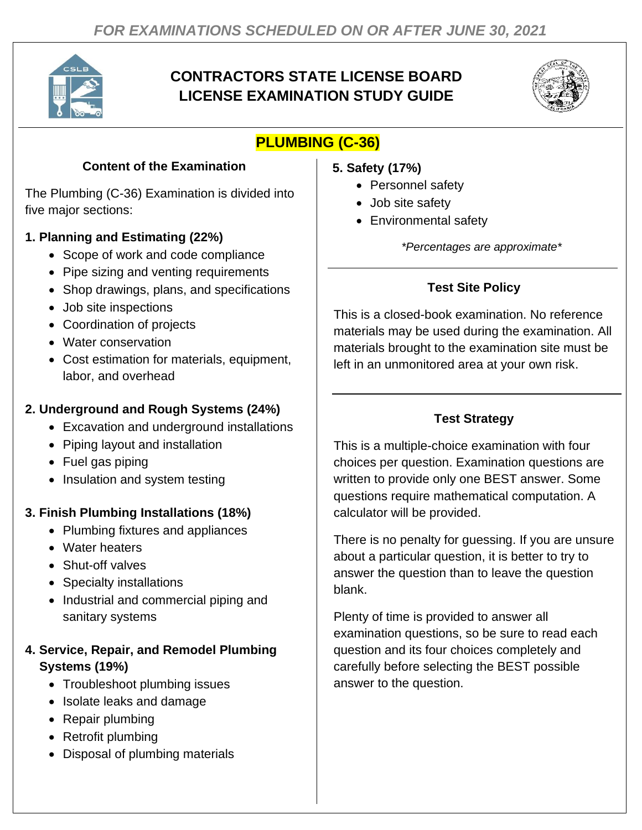

# **CONTRACTORS STATE LICENSE BOARD LICENSE EXAMINATION STUDY GUIDE**



# **PLUMBING (C-36)**

### **Content of the Examination**

The Plumbing (C-36) Examination is divided into five major sections:

### **1. Planning and Estimating (22%)**

- Scope of work and code compliance
- Pipe sizing and venting requirements
- Shop drawings, plans, and specifications
- Job site inspections
- Coordination of projects
- Water conservation
- Cost estimation for materials, equipment, labor, and overhead

### **2. Underground and Rough Systems (24%)**

- Excavation and underground installations
- Piping layout and installation
- Fuel gas piping
- Insulation and system testing

### **3. Finish Plumbing Installations (18%)**

- Plumbing fixtures and appliances
- Water heaters
- Shut-off valves
- Specialty installations
- Industrial and commercial piping and sanitary systems

### **4. Service, Repair, and Remodel Plumbing Systems (19%)**

- Troubleshoot plumbing issues
- Isolate leaks and damage
- Repair plumbing
- Retrofit plumbing
- Disposal of plumbing materials
- **5. Safety (17%)**
	- Personnel safety
	- Job site safety
	- Environmental safety

*\*Percentages are approximate\**

## **Test Site Policy**

This is a closed-book examination. No reference materials may be used during the examination. All materials brought to the examination site must be left in an unmonitored area at your own risk.

## **Test Strategy**

This is a multiple-choice examination with four choices per question. Examination questions are written to provide only one BEST answer. Some questions require mathematical computation. A calculator will be provided.

There is no penalty for guessing. If you are unsure about a particular question, it is better to try to answer the question than to leave the question blank.

Plenty of time is provided to answer all examination questions, so be sure to read each question and its four choices completely and carefully before selecting the BEST possible answer to the question.